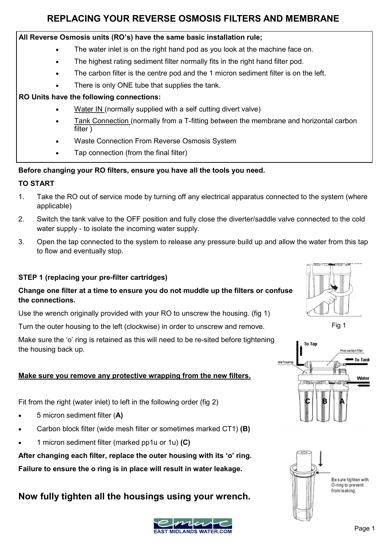# **REPLACING YOUR REVERSE OSMOSIS FILTERS AND MEMBRANE**

### **All Reverse Osmosis units (RO's) have the same basic installation rule;**

- The water inlet is on the right hand pod as you look at the machine face on.
- The highest rating sediment filter normally fits in the right hand filter pod.
- The carbon filter is the centre pod and the 1 micron sediment filter is on the left.
- There is only ONE tube that supplies the tank.

## **RO Units have the following connections:**

- Water IN (normally supplied with a self cutting divert valve)
- Tank Connection (normally from a T-fitting between the membrane and horizontal carbon filter )
- Waste Connection From Reverse Osmosis System
- Tap connection (from the final filter)

## **Before changing your RO filters, ensure you have all the tools you need.**

### **TO START**

- 1. Take the RO out of service mode by turning off any electrical apparatus connected to the system (where applicable)
- 2. Switch the tank valve to the OFF position and fully close the diverter/saddle valve connected to the cold water supply - to isolate the incoming water supply.
- 3. Open the tap connected to the system to release any pressure build up and allow the water from this tap to flow and eventually stop.

### **STEP 1 (replacing your pre-filter cartridges)**

## **Change one filter at a time to ensure you do not muddle up the filters or confuse the connections.**

Use the wrench originally provided with your RO to unscrew the housing. (fig 1)

Turn the outer housing to the left (clockwise) in order to unscrew and remove.

Make sure the 'o' ring is retained as this will need to be re-sited before tightening the housing back up.

#### **Make sure you remove any protective wrapping from the new filters.**

Fit from the right (water inlet) to left in the following order (fig 2)

- 5 micron sediment filter (**A)**
- Carbon block filter (wide mesh filter or sometimes marked CT1) **(B)**
- 1 micron sediment filter (marked pp1u or 1u) **(C)**

**After changing each filter, replace the outer housing with its 'o' ring. Failure to ensure the o ring is in place will result in water leakage.** 

# **Now fully tighten all the housings using your wrench.**









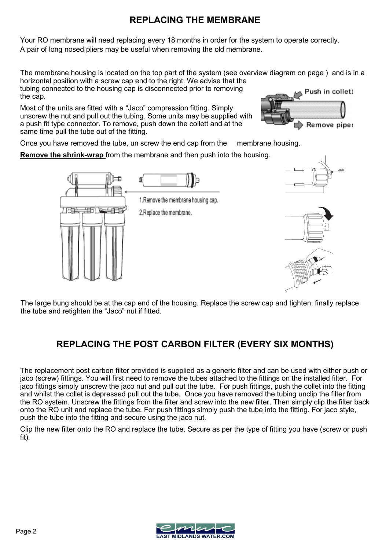# **REPLACING THE MEMBRANE**

Your RO membrane will need replacing every 18 months in order for the system to operate correctly. A pair of long nosed pliers may be useful when removing the old membrane.

The membrane housing is located on the top part of the system (see overview diagram on page ) and is in a horizontal position with a screw cap end to the right. We advise that the tubing connected to the housing cap is disconnected prior to removing

the cap.

Most of the units are fitted with a "Jaco" compression fitting. Simply unscrew the nut and pull out the tubing. Some units may be supplied with a push fit type connector. To remove, push down the collett and at the same time pull the tube out of the fitting.

Push in collet: Remove pipe:

Once you have removed the tube, un screw the end cap from the membrane housing.

**Remove the shrink-wrap** from the membrane and then push into the housing.



The large bung should be at the cap end of the housing. Replace the screw cap and tighten, finally replace the tube and retighten the "Jaco" nut if fitted.

# **REPLACING THE POST CARBON FILTER (EVERY SIX MONTHS)**

The replacement post carbon filter provided is supplied as a generic filter and can be used with either push or jaco (screw) fittings. You will first need to remove the tubes attached to the fittings on the installed filter. For jaco fittings simply unscrew the jaco nut and pull out the tube. For push fittings, push the collet into the fitting and whilst the collet is depressed pull out the tube. Once you have removed the tubing unclip the filter from the RO system. Unscrew the fittings from the filter and screw into the new filter. Then simply clip the filter back onto the RO unit and replace the tube. For push fittings simply push the tube into the fitting. For jaco style, push the tube into the fitting and secure using the jaco nut.

Clip the new filter onto the RO and replace the tube. Secure as per the type of fitting you have (screw or push fit).

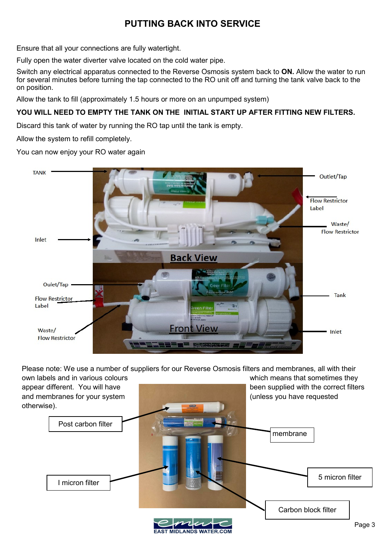# **PUTTING BACK INTO SERVICE**

Ensure that all your connections are fully watertight.

Fully open the water diverter valve located on the cold water pipe.

Switch any electrical apparatus connected to the Reverse Osmosis system back to **ON.** Allow the water to run for several minutes before turning the tap connected to the RO unit off and turning the tank valve back to the on position.

Allow the tank to fill (approximately 1.5 hours or more on an unpumped system)

## **YOU WILL NEED TO EMPTY THE TANK ON THE INITIAL START UP AFTER FITTING NEW FILTERS.**

Discard this tank of water by running the RO tap until the tank is empty.

Allow the system to refill completely.

You can now enjoy your RO water again



Please note: We use a number of suppliers for our Reverse Osmosis filters and membranes, all with their